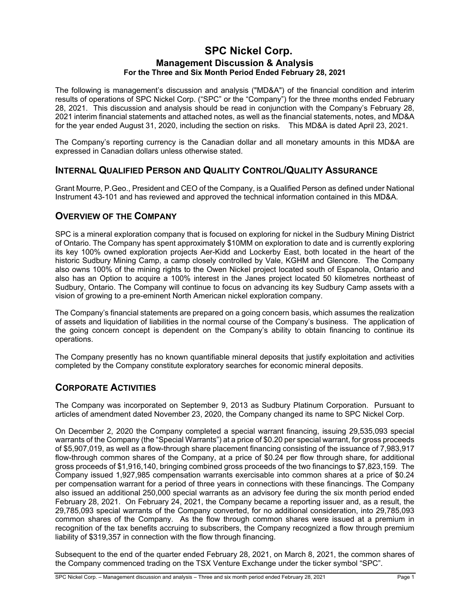### **SPC Nickel Corp. Management Discussion & Analysis For the Three and Six Month Period Ended February 28, 2021**

The following is management's discussion and analysis ("MD&A") of the financial condition and interim results of operations of SPC Nickel Corp. ("SPC" or the "Company") for the three months ended February 28, 2021. This discussion and analysis should be read in conjunction with the Company's February 28, 2021 interim financial statements and attached notes, as well as the financial statements, notes, and MD&A for the year ended August 31, 2020, including the section on risks. This MD&A is dated April 23, 2021.

The Company's reporting currency is the Canadian dollar and all monetary amounts in this MD&A are expressed in Canadian dollars unless otherwise stated.

### **INTERNAL QUALIFIED PERSON AND QUALITY CONTROL/QUALITY ASSURANCE**

Grant Mourre, P.Geo., President and CEO of the Company, is a Qualified Person as defined under National Instrument 43-101 and has reviewed and approved the technical information contained in this MD&A.

### **OVERVIEW OF THE COMPANY**

SPC is a mineral exploration company that is focused on exploring for nickel in the Sudbury Mining District of Ontario. The Company has spent approximately \$10MM on exploration to date and is currently exploring its key 100% owned exploration projects Aer-Kidd and Lockerby East, both located in the heart of the historic Sudbury Mining Camp, a camp closely controlled by Vale, KGHM and Glencore. The Company also owns 100% of the mining rights to the Owen Nickel project located south of Espanola, Ontario and also has an Option to acquire a 100% interest in the Janes project located 50 kilometres northeast of Sudbury, Ontario. The Company will continue to focus on advancing its key Sudbury Camp assets with a vision of growing to a pre-eminent North American nickel exploration company.

The Company's financial statements are prepared on a going concern basis, which assumes the realization of assets and liquidation of liabilities in the normal course of the Company's business. The application of the going concern concept is dependent on the Company's ability to obtain financing to continue its operations.

The Company presently has no known quantifiable mineral deposits that justify exploitation and activities completed by the Company constitute exploratory searches for economic mineral deposits.

### **CORPORATE ACTIVITIES**

The Company was incorporated on September 9, 2013 as Sudbury Platinum Corporation. Pursuant to articles of amendment dated November 23, 2020, the Company changed its name to SPC Nickel Corp.

On December 2, 2020 the Company completed a special warrant financing, issuing 29,535,093 special warrants of the Company (the "Special Warrants") at a price of \$0.20 per special warrant, for gross proceeds of \$5,907,019, as well as a flow-through share placement financing consisting of the issuance of 7,983,917 flow-through common shares of the Company, at a price of \$0.24 per flow through share, for additional gross proceeds of \$1,916,140, bringing combined gross proceeds of the two financings to \$7,823,159. The Company issued 1,927,985 compensation warrants exercisable into common shares at a price of \$0.24 per compensation warrant for a period of three years in connections with these financings. The Company also issued an additional 250,000 special warrants as an advisory fee during the six month period ended February 28, 2021. On February 24, 2021, the Company became a reporting issuer and, as a result, the 29,785,093 special warrants of the Company converted, for no additional consideration, into 29,785,093 common shares of the Company. As the flow through common shares were issued at a premium in recognition of the tax benefits accruing to subscribers, the Company recognized a flow through premium liability of \$319,357 in connection with the flow through financing.

Subsequent to the end of the quarter ended February 28, 2021, on March 8, 2021, the common shares of the Company commenced trading on the TSX Venture Exchange under the ticker symbol "SPC".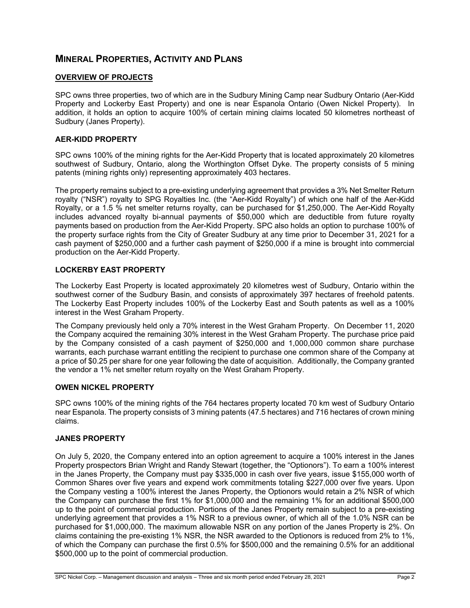# **MINERAL PROPERTIES, ACTIVITY AND PLANS**

### **OVERVIEW OF PROJECTS**

SPC owns three properties, two of which are in the Sudbury Mining Camp near Sudbury Ontario (Aer-Kidd Property and Lockerby East Property) and one is near Espanola Ontario (Owen Nickel Property). In addition, it holds an option to acquire 100% of certain mining claims located 50 kilometres northeast of Sudbury (Janes Property).

### **AER-KIDD PROPERTY**

SPC owns 100% of the mining rights for the Aer-Kidd Property that is located approximately 20 kilometres southwest of Sudbury, Ontario, along the Worthington Offset Dyke. The property consists of 5 mining patents (mining rights only) representing approximately 403 hectares.

The property remains subject to a pre-existing underlying agreement that provides a 3% Net Smelter Return royalty ("NSR") royalty to SPG Royalties Inc. (the "Aer-Kidd Royalty") of which one half of the Aer-Kidd Royalty, or a 1.5 % net smelter returns royalty, can be purchased for \$1,250,000. The Aer-Kidd Royalty includes advanced royalty bi-annual payments of \$50,000 which are deductible from future royalty payments based on production from the Aer-Kidd Property. SPC also holds an option to purchase 100% of the property surface rights from the City of Greater Sudbury at any time prior to December 31, 2021 for a cash payment of \$250,000 and a further cash payment of \$250,000 if a mine is brought into commercial production on the Aer-Kidd Property.

### **LOCKERBY EAST PROPERTY**

The Lockerby East Property is located approximately 20 kilometres west of Sudbury, Ontario within the southwest corner of the Sudbury Basin, and consists of approximately 397 hectares of freehold patents. The Lockerby East Property includes 100% of the Lockerby East and South patents as well as a 100% interest in the West Graham Property.

The Company previously held only a 70% interest in the West Graham Property. On December 11, 2020 the Company acquired the remaining 30% interest in the West Graham Property. The purchase price paid by the Company consisted of a cash payment of \$250,000 and 1,000,000 common share purchase warrants, each purchase warrant entitling the recipient to purchase one common share of the Company at a price of \$0.25 per share for one year following the date of acquisition. Additionally, the Company granted the vendor a 1% net smelter return royalty on the West Graham Property.

#### **OWEN NICKEL PROPERTY**

SPC owns 100% of the mining rights of the 764 hectares property located 70 km west of Sudbury Ontario near Espanola. The property consists of 3 mining patents (47.5 hectares) and 716 hectares of crown mining claims.

#### **JANES PROPERTY**

On July 5, 2020, the Company entered into an option agreement to acquire a 100% interest in the Janes Property prospectors Brian Wright and Randy Stewart (together, the "Optionors"). To earn a 100% interest in the Janes Property, the Company must pay \$335,000 in cash over five years, issue \$155,000 worth of Common Shares over five years and expend work commitments totaling \$227,000 over five years. Upon the Company vesting a 100% interest the Janes Property, the Optionors would retain a 2% NSR of which the Company can purchase the first 1% for \$1,000,000 and the remaining 1% for an additional \$500,000 up to the point of commercial production. Portions of the Janes Property remain subject to a pre-existing underlying agreement that provides a 1% NSR to a previous owner, of which all of the 1.0% NSR can be purchased for \$1,000,000. The maximum allowable NSR on any portion of the Janes Property is 2%. On claims containing the pre-existing 1% NSR, the NSR awarded to the Optionors is reduced from 2% to 1%, of which the Company can purchase the first 0.5% for \$500,000 and the remaining 0.5% for an additional \$500,000 up to the point of commercial production.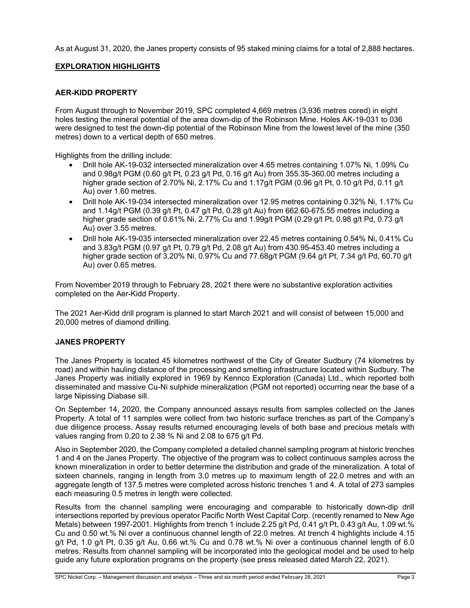As at August 31, 2020, the Janes property consists of 95 staked mining claims for a total of 2,888 hectares.

### **EXPLORATION HIGHLIGHTS**

### **AER-KIDD PROPERTY**

From August through to November 2019, SPC completed 4,669 metres (3,936 metres cored) in eight holes testing the mineral potential of the area down-dip of the Robinson Mine. Holes AK-19-031 to 036 were designed to test the down-dip potential of the Robinson Mine from the lowest level of the mine (350 metres) down to a vertical depth of 650 metres.

Highlights from the drilling include:

- Drill hole AK-19-032 intersected mineralization over 4.65 metres containing 1.07% Ni, 1.09% Cu and 0.98g/t PGM (0.60 g/t Pt, 0.23 g/t Pd, 0.16 g/t Au) from 355.35-360.00 metres including a higher grade section of 2.70% Ni, 2.17% Cu and 1.17g/t PGM (0.96 g/t Pt, 0.10 g/t Pd, 0.11 g/t Au) over 1.60 metres.
- Drill hole AK-19-034 intersected mineralization over 12.95 metres containing 0.32% Ni, 1.17% Cu and 1.14g/t PGM (0.39 g/t Pt, 0.47 g/t Pd, 0.28 g/t Au) from 662.60-675.55 metres including a higher grade section of 0.61% Ni, 2.77% Cu and 1.99g/t PGM (0.29 g/t Pt, 0.98 g/t Pd, 0.73 g/t Au) over 3.55 metres.
- Drill hole AK-19-035 intersected mineralization over 22.45 metres containing 0.54% Ni, 0.41% Cu and 3.83g/t PGM (0.97 g/t Pt, 0.79 g/t Pd, 2.08 g/t Au) from 430.95-453.40 metres including a higher grade section of 3.20% Ni, 0.97% Cu and 77.68g/t PGM (9.64 g/t Pt, 7.34 g/t Pd, 60.70 g/t Au) over 0.65 metres.

From November 2019 through to February 28, 2021 there were no substantive exploration activities completed on the Aer-Kidd Property.

The 2021 Aer-Kidd drill program is planned to start March 2021 and will consist of between 15,000 and 20,000 metres of diamond drilling.

#### **JANES PROPERTY**

The Janes Property is located 45 kilometres northwest of the City of Greater Sudbury (74 kilometres by road) and within hauling distance of the processing and smelting infrastructure located within Sudbury. The Janes Property was initially explored in 1969 by Kennco Exploration (Canada) Ltd., which reported both disseminated and massive Cu-Ni sulphide mineralization (PGM not reported) occurring near the base of a large Nipissing Diabase sill.

On September 14, 2020, the Company announced assays results from samples collected on the Janes Property. A total of 11 samples were collect from two historic surface trenches as part of the Company's due diligence process. Assay results returned encouraging levels of both base and precious metals with values ranging from 0.20 to 2.38 % Ni and 2.08 to 675 g/t Pd.

Also in September 2020, the Company completed a detailed channel sampling program at historic trenches 1 and 4 on the Janes Property. The objective of the program was to collect continuous samples across the known mineralization in order to better determine the distribution and grade of the mineralization. A total of sixteen channels, ranging in length from 3.0 metres up to maximum length of 22.0 metres and with an aggregate length of 137.5 metres were completed across historic trenches 1 and 4. A total of 273 samples each measuring 0.5 metres in length were collected.

Results from the channel sampling were encouraging and comparable to historically down-dip drill intersections reported by previous operator Pacific North West Capital Corp. (recently renamed to New Age Metals) between 1997-2001. Highlights from trench 1 include 2.25 g/t Pd, 0.41 g/t Pt, 0.43 g/t Au, 1.09 wt.% Cu and 0.50 wt.% Ni over a continuous channel length of 22.0 metres. At trench 4 highlights include 4.15 g/t Pd, 1.0 g/t Pt, 0.35 g/t Au, 0.66 wt.% Cu and 0.78 wt.% Ni over a continuous channel length of 6.0 metres. Results from channel sampling will be incorporated into the geological model and be used to help guide any future exploration programs on the property (see press released dated March 22, 2021).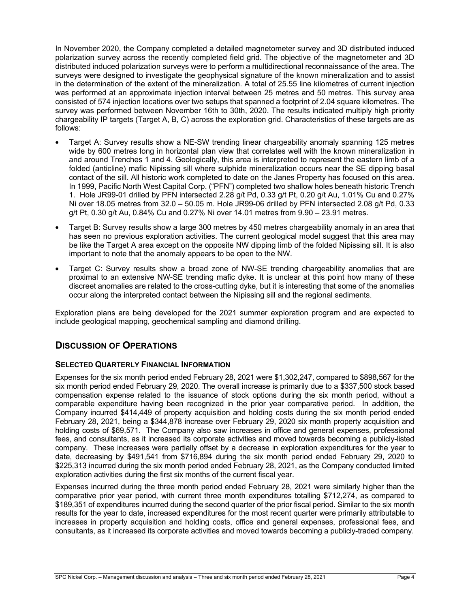In November 2020, the Company completed a detailed magnetometer survey and 3D distributed induced polarization survey across the recently completed field grid. The objective of the magnetometer and 3D distributed induced polarization surveys were to perform a multidirectional reconnaissance of the area. The surveys were designed to investigate the geophysical signature of the known mineralization and to assist in the determination of the extent of the mineralization. A total of 25.55 line kilometres of current injection was performed at an approximate injection interval between 25 metres and 50 metres. This survey area consisted of 574 injection locations over two setups that spanned a footprint of 2.04 square kilometres. The survey was performed between November 16th to 30th, 2020. The results indicated multiply high priority chargeability IP targets (Target A, B, C) across the exploration grid. Characteristics of these targets are as follows:

- Target A: Survey results show a NE-SW trending linear chargeability anomaly spanning 125 metres wide by 600 metres long in horizontal plan view that correlates well with the known mineralization in and around Trenches 1 and 4. Geologically, this area is interpreted to represent the eastern limb of a folded (anticline) mafic Nipissing sill where sulphide mineralization occurs near the SE dipping basal contact of the sill. All historic work completed to date on the Janes Property has focused on this area. In 1999, Pacific North West Capital Corp. ("PFN") completed two shallow holes beneath historic Trench 1. Hole JR99-01 drilled by PFN intersected 2.28 g/t Pd, 0.33 g/t Pt, 0.20 g/t Au, 1.01% Cu and 0.27% Ni over 18.05 metres from 32.0 – 50.05 m. Hole JR99-06 drilled by PFN intersected 2.08 g/t Pd, 0.33 g/t Pt, 0.30 g/t Au, 0.84% Cu and 0.27% Ni over 14.01 metres from 9.90 – 23.91 metres.
- Target B: Survey results show a large 300 metres by 450 metres chargeability anomaly in an area that has seen no previous exploration activities. The current geological model suggest that this area may be like the Target A area except on the opposite NW dipping limb of the folded Nipissing sill. It is also important to note that the anomaly appears to be open to the NW.
- Target C: Survey results show a broad zone of NW-SE trending chargeability anomalies that are proximal to an extensive NW-SE trending mafic dyke. It is unclear at this point how many of these discreet anomalies are related to the cross-cutting dyke, but it is interesting that some of the anomalies occur along the interpreted contact between the Nipissing sill and the regional sediments.

Exploration plans are being developed for the 2021 summer exploration program and are expected to include geological mapping, geochemical sampling and diamond drilling.

### **DISCUSSION OF OPERATIONS**

### **SELECTED QUARTERLY FINANCIAL INFORMATION**

Expenses for the six month period ended February 28, 2021 were \$1,302,247, compared to \$898,567 for the six month period ended February 29, 2020. The overall increase is primarily due to a \$337,500 stock based compensation expense related to the issuance of stock options during the six month period, without a comparable expenditure having been recognized in the prior year comparative period. In addition, the Company incurred \$414,449 of property acquisition and holding costs during the six month period ended February 28, 2021, being a \$344,878 increase over February 29, 2020 six month property acquisition and holding costs of \$69,571. The Company also saw increases in office and general expenses, professional fees, and consultants, as it increased its corporate activities and moved towards becoming a publicly-listed company. These increases were partially offset by a decrease in exploration expenditures for the year to date, decreasing by \$491,541 from \$716,894 during the six month period ended February 29, 2020 to \$225,313 incurred during the six month period ended February 28, 2021, as the Company conducted limited exploration activities during the first six months of the current fiscal year.

Expenses incurred during the three month period ended February 28, 2021 were similarly higher than the comparative prior year period, with current three month expenditures totalling \$712,274, as compared to \$189,351 of expenditures incurred during the second quarter of the prior fiscal period. Similar to the six month results for the year to date, increased expenditures for the most recent quarter were primarily attributable to increases in property acquisition and holding costs, office and general expenses, professional fees, and consultants, as it increased its corporate activities and moved towards becoming a publicly-traded company.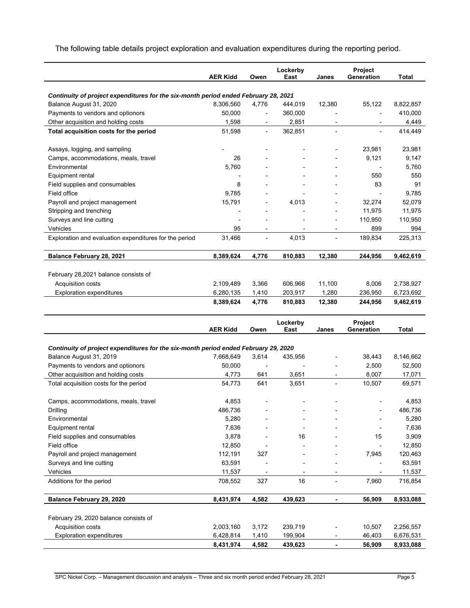The following table details project exploration and evaluation expenditures during the reporting period.

|                                                                                                                |                              |                              | Lockerby                 |                          | Project                  |                        |
|----------------------------------------------------------------------------------------------------------------|------------------------------|------------------------------|--------------------------|--------------------------|--------------------------|------------------------|
|                                                                                                                | <b>AER Kidd</b>              | Owen                         | East                     | Janes                    | Generation               | Total                  |
| Continuity of project expenditures for the six-month period ended February 28, 2021                            |                              |                              |                          |                          |                          |                        |
| Balance August 31, 2020                                                                                        | 8,306,560                    | 4,776                        | 444,019                  | 12,380                   | 55,122                   | 8,822,857              |
| Payments to vendors and optionors                                                                              | 50,000                       | $\overline{\phantom{a}}$     | 360,000                  | ÷                        | $\overline{\phantom{a}}$ | 410,000                |
| Other acquisition and holding costs                                                                            | 1,598                        | -                            | 2,851                    |                          |                          | 4,449                  |
| Total acquisition costs for the period                                                                         | 51,598                       | $\qquad \qquad \blacksquare$ | 362,851                  | $\blacksquare$           |                          | 414,449                |
|                                                                                                                |                              |                              |                          |                          |                          |                        |
| Assays, logging, and sampling                                                                                  |                              |                              |                          |                          | 23,981                   | 23,981                 |
| Camps, accommodations, meals, travel                                                                           | 26                           |                              |                          | $\overline{a}$           | 9,121                    | 9,147                  |
| Environmental                                                                                                  | 5,760                        |                              |                          | $\overline{a}$           |                          | 5,760                  |
| Equipment rental                                                                                               |                              |                              |                          | $\overline{a}$           | 550                      | 550                    |
| Field supplies and consumables                                                                                 | 8                            |                              |                          |                          | 83                       | 91                     |
| Field office                                                                                                   | 9,785                        |                              |                          |                          |                          | 9,785                  |
| Payroll and project management                                                                                 | 15,791                       | $\overline{a}$               | 4,013                    |                          | 32,274                   | 52,079                 |
| Stripping and trenching                                                                                        |                              |                              |                          | ÷                        | 11,975                   | 11,975                 |
| Surveys and line cutting                                                                                       | $\qquad \qquad \blacksquare$ | $\overline{a}$               |                          | $\overline{\phantom{a}}$ | 110,950                  | 110,950                |
| Vehicles                                                                                                       | 95                           | $\overline{a}$               | $\overline{\phantom{a}}$ | $\overline{\phantom{a}}$ | 899                      | 994                    |
| Exploration and evaluation expenditures for the period                                                         | 31,466                       | $\qquad \qquad \blacksquare$ | 4,013                    | $\overline{\phantom{a}}$ | 189,834                  | 225,313                |
| Balance February 28, 2021                                                                                      | 8,389,624                    | 4,776                        | 810,883                  | 12,380                   | 244,956                  | 9,462,619              |
|                                                                                                                |                              |                              |                          |                          |                          |                        |
| February 28,2021 balance consists of                                                                           |                              |                              |                          |                          |                          |                        |
| Acquisition costs                                                                                              | 2,109,489                    | 3,366                        | 606,966                  | 11,100                   | 8,006                    | 2,738,927              |
| <b>Exploration expenditures</b>                                                                                | 6,280,135                    | 1,410                        | 203,917                  | 1,280                    | 236,950                  | 6,723,692              |
|                                                                                                                | 8,389,624                    | 4,776                        | 810,883                  | 12,380                   | 244,956                  | 9,462,619              |
|                                                                                                                |                              |                              |                          |                          |                          |                        |
|                                                                                                                |                              |                              |                          |                          |                          |                        |
|                                                                                                                |                              |                              | Lockerby                 |                          | Project                  |                        |
|                                                                                                                | <b>AER Kidd</b>              | Owen                         | East                     | Janes                    | Generation               | Total                  |
|                                                                                                                |                              |                              |                          |                          |                          |                        |
| Continuity of project expenditures for the six-month period ended February 29, 2020<br>Balance August 31, 2019 | 7,668,649                    | 3,614                        | 435,956                  |                          | 38,443                   | 8,146,662              |
| Payments to vendors and optionors                                                                              | 50,000                       |                              |                          |                          | 2,500                    | 52,500                 |
| Other acquisition and holding costs                                                                            | 4,773                        | 641                          | 3,651                    |                          | 8,007                    | 17,071                 |
| Total acquisition costs for the period                                                                         | 54,773                       | 641                          | 3,651                    |                          | 10,507                   | 69,571                 |
|                                                                                                                |                              |                              |                          |                          |                          |                        |
| Camps, accommodations, meals, travel                                                                           | 4,853                        |                              |                          |                          |                          | 4,853                  |
| Drilling                                                                                                       | 486,736                      |                              |                          |                          |                          | 486,736                |
| Environmental                                                                                                  | 5,280                        |                              |                          |                          |                          | 5,280                  |
| Equipment rental                                                                                               | 7,636                        |                              |                          |                          |                          | 7,636                  |
| Field supplies and consumables                                                                                 | 3,878                        |                              | 16                       |                          | 15                       | 3,909                  |
| Field office                                                                                                   | 12,850                       |                              |                          |                          |                          | 12,850                 |
| Payroll and project management                                                                                 | 112,191                      | 327                          |                          |                          | 7,945                    | 120,463                |
| Surveys and line cutting                                                                                       | 63,591                       |                              |                          |                          |                          | 63,591                 |
| Vehicles                                                                                                       | 11,537                       |                              |                          |                          |                          | 11,537                 |
| Additions for the period                                                                                       | 708,552                      | 327                          | 16                       |                          | 7,960                    | 716,854                |
| Balance February 29, 2020                                                                                      | 8,431,974                    | 4,582                        | 439,623                  |                          | 56,909                   | 8,933,088              |
|                                                                                                                |                              |                              |                          |                          |                          |                        |
| February 29, 2020 balance consists of                                                                          |                              |                              |                          |                          |                          |                        |
| Acquisition costs                                                                                              | 2,003,160                    | 3,172                        | 239,719                  |                          | 10,507                   | 2,256,557              |
| <b>Exploration expenditures</b>                                                                                | 6,428,814<br>8,431,974       | 1,410<br>4,582               | 199,904<br>439,623       |                          | 46,403<br>56,909         | 6,676,531<br>8,933,088 |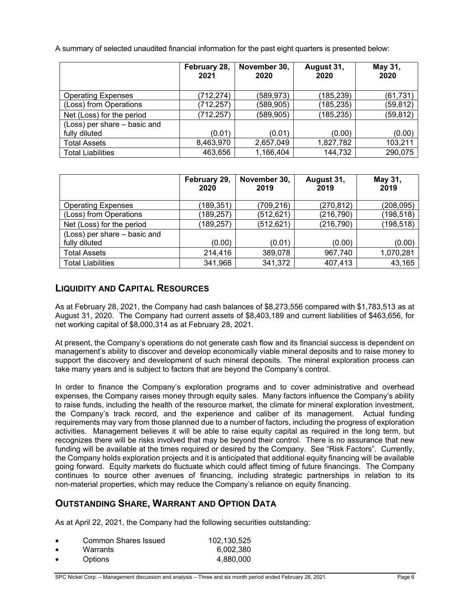A summary of selected unaudited financial information for the past eight quarters is presented below:

|                              | February 28,<br>2021 | November 30,<br>2020 | August 31,<br>2020 | May 31,<br>2020 |
|------------------------------|----------------------|----------------------|--------------------|-----------------|
| <b>Operating Expenses</b>    | (712, 274)           | (589,973)            | (185, 239)         | (61, 731)       |
| (Loss) from Operations       | (712, 257)           | (589, 905)           | (185, 235)         | (59, 812)       |
| Net (Loss) for the period    | (712, 257)           | (589, 905)           | (185, 235)         | (59, 812)       |
| (Loss) per share - basic and |                      |                      |                    |                 |
| fully diluted                | (0.01)               | (0.01)               | (0.00)             | (0.00)          |
| <b>Total Assets</b>          | 8,463,970            | 2,657,049            | 1,827,782          | 103,211         |
| <b>Total Liabilities</b>     | 463,656              | 1,166,404            | 144,732            | 290,075         |

|                              | February 29,<br>2020 | November 30,<br>2019 | August 31,<br>2019 | May 31,<br>2019 |
|------------------------------|----------------------|----------------------|--------------------|-----------------|
| <b>Operating Expenses</b>    | (189, 351)           | (709,216)            | (270, 812)         | (208, 095)      |
| (Loss) from Operations       | (189, 257)           | (512, 621)           | (216, 790)         | (198, 518)      |
| Net (Loss) for the period    | (189, 257)           | (512, 621)           | (216, 790)         | (198, 518)      |
| (Loss) per share - basic and |                      |                      |                    |                 |
| fully diluted                | (0.00)               | (0.01)               | (0.00)             | (0.00)          |
| <b>Total Assets</b>          | 214,416              | 389,078              | 967,740            | 1,070,281       |
| <b>Total Liabilities</b>     | 341,968              | 341,372              | 407,413            | 43,165          |

# **LIQUIDITY AND CAPITAL RESOURCES**

As at February 28, 2021, the Company had cash balances of \$8,273,556 compared with \$1,783,513 as at August 31, 2020. The Company had current assets of \$8,403,189 and current liabilities of \$463,656, for net working capital of \$8,000,314 as at February 28, 2021.

At present, the Company's operations do not generate cash flow and its financial success is dependent on management's ability to discover and develop economically viable mineral deposits and to raise money to support the discovery and development of such mineral deposits. The mineral exploration process can take many years and is subject to factors that are beyond the Company's control.

In order to finance the Company's exploration programs and to cover administrative and overhead expenses, the Company raises money through equity sales. Many factors influence the Company's ability to raise funds, including the health of the resource market, the climate for mineral exploration investment, the Company's track record, and the experience and caliber of its management. Actual funding requirements may vary from those planned due to a number of factors, including the progress of exploration activities. Management believes it will be able to raise equity capital as required in the long term, but recognizes there will be risks involved that may be beyond their control. There is no assurance that new funding will be available at the times required or desired by the Company. See "Risk Factors". Currently, the Company holds exploration projects and it is anticipated that additional equity financing will be available going forward. Equity markets do fluctuate which could affect timing of future financings. The Company continues to source other avenues of financing, including strategic partnerships in relation to its non-material properties, which may reduce the Company's reliance on equity financing.

# **OUTSTANDING SHARE, WARRANT AND OPTION DATA**

As at April 22, 2021, the Company had the following securities outstanding:

| $\bullet$ | Common Shares Issued | 102,130,525 |
|-----------|----------------------|-------------|
| $\bullet$ | Warrants             | 6.002.380   |
|           | Options              | 4.880.000   |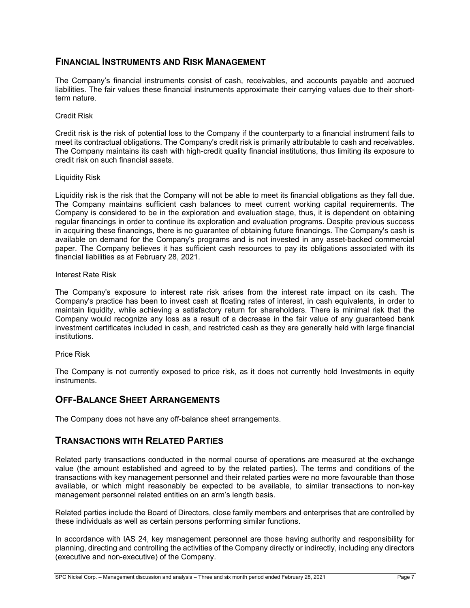### **FINANCIAL INSTRUMENTS AND RISK MANAGEMENT**

The Company's financial instruments consist of cash, receivables, and accounts payable and accrued liabilities. The fair values these financial instruments approximate their carrying values due to their shortterm nature.

### Credit Risk

Credit risk is the risk of potential loss to the Company if the counterparty to a financial instrument fails to meet its contractual obligations. The Company's credit risk is primarily attributable to cash and receivables. The Company maintains its cash with high-credit quality financial institutions, thus limiting its exposure to credit risk on such financial assets.

### Liquidity Risk

Liquidity risk is the risk that the Company will not be able to meet its financial obligations as they fall due. The Company maintains sufficient cash balances to meet current working capital requirements. The Company is considered to be in the exploration and evaluation stage, thus, it is dependent on obtaining regular financings in order to continue its exploration and evaluation programs. Despite previous success in acquiring these financings, there is no guarantee of obtaining future financings. The Company's cash is available on demand for the Company's programs and is not invested in any asset-backed commercial paper. The Company believes it has sufficient cash resources to pay its obligations associated with its financial liabilities as at February 28, 2021.

### Interest Rate Risk

The Company's exposure to interest rate risk arises from the interest rate impact on its cash. The Company's practice has been to invest cash at floating rates of interest, in cash equivalents, in order to maintain liquidity, while achieving a satisfactory return for shareholders. There is minimal risk that the Company would recognize any loss as a result of a decrease in the fair value of any guaranteed bank investment certificates included in cash, and restricted cash as they are generally held with large financial institutions.

#### Price Risk

The Company is not currently exposed to price risk, as it does not currently hold Investments in equity instruments.

### **OFF-BALANCE SHEET ARRANGEMENTS**

The Company does not have any off-balance sheet arrangements.

### **TRANSACTIONS WITH RELATED PARTIES**

Related party transactions conducted in the normal course of operations are measured at the exchange value (the amount established and agreed to by the related parties). The terms and conditions of the transactions with key management personnel and their related parties were no more favourable than those available, or which might reasonably be expected to be available, to similar transactions to non-key management personnel related entities on an arm's length basis.

Related parties include the Board of Directors, close family members and enterprises that are controlled by these individuals as well as certain persons performing similar functions.

In accordance with IAS 24, key management personnel are those having authority and responsibility for planning, directing and controlling the activities of the Company directly or indirectly, including any directors (executive and non-executive) of the Company.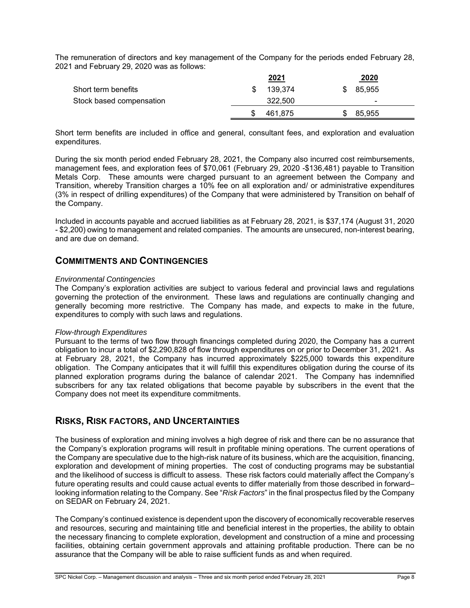The remuneration of directors and key management of the Company for the periods ended February 28, 2021 and February 29, 2020 was as follows:

|                          | 2021    | 2020          |  |
|--------------------------|---------|---------------|--|
| Short term benefits      | 139.374 | 85,955<br>\$. |  |
| Stock based compensation | 322,500 | -             |  |
|                          | 461.875 | 85,955        |  |

Short term benefits are included in office and general, consultant fees, and exploration and evaluation expenditures.

During the six month period ended February 28, 2021, the Company also incurred cost reimbursements, management fees, and exploration fees of \$70,061 (February 29, 2020 -\$136,481) payable to Transition Metals Corp. These amounts were charged pursuant to an agreement between the Company and Transition, whereby Transition charges a 10% fee on all exploration and/ or administrative expenditures (3% in respect of drilling expenditures) of the Company that were administered by Transition on behalf of the Company.

Included in accounts payable and accrued liabilities as at February 28, 2021, is \$37,174 (August 31, 2020 - \$2,200) owing to management and related companies. The amounts are unsecured, non-interest bearing, and are due on demand.

### **COMMITMENTS AND CONTINGENCIES**

#### *Environmental Contingencies*

The Company's exploration activities are subject to various federal and provincial laws and regulations governing the protection of the environment. These laws and regulations are continually changing and generally becoming more restrictive. The Company has made, and expects to make in the future, expenditures to comply with such laws and regulations.

#### *Flow-through Expenditures*

Pursuant to the terms of two flow through financings completed during 2020, the Company has a current obligation to incur a total of \$2,290,828 of flow through expenditures on or prior to December 31, 2021. As at February 28, 2021, the Company has incurred approximately \$225,000 towards this expenditure obligation. The Company anticipates that it will fulfill this expenditures obligation during the course of its planned exploration programs during the balance of calendar 2021. The Company has indemnified subscribers for any tax related obligations that become payable by subscribers in the event that the Company does not meet its expenditure commitments.

### **RISKS, RISK FACTORS, AND UNCERTAINTIES**

The business of exploration and mining involves a high degree of risk and there can be no assurance that the Company's exploration programs will result in profitable mining operations. The current operations of the Company are speculative due to the high-risk nature of its business, which are the acquisition, financing, exploration and development of mining properties. The cost of conducting programs may be substantial and the likelihood of success is difficult to assess. These risk factors could materially affect the Company's future operating results and could cause actual events to differ materially from those described in forward– looking information relating to the Company. See "*Risk Factors*" in the final prospectus filed by the Company on SEDAR on February 24, 2021.

The Company's continued existence is dependent upon the discovery of economically recoverable reserves and resources, securing and maintaining title and beneficial interest in the properties, the ability to obtain the necessary financing to complete exploration, development and construction of a mine and processing facilities, obtaining certain government approvals and attaining profitable production. There can be no assurance that the Company will be able to raise sufficient funds as and when required.